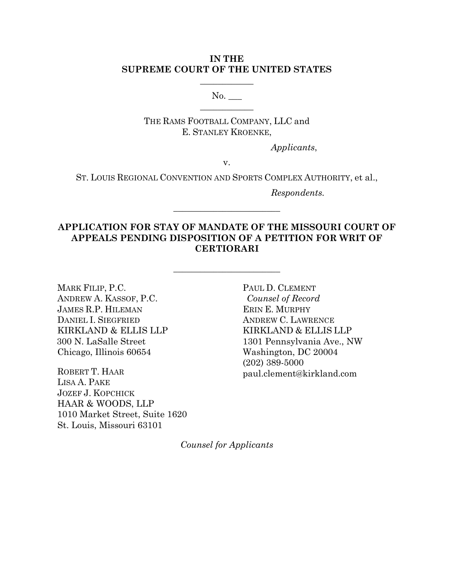# **IN THE SUPREME COURT OF THE UNITED STATES**

 $\overline{\phantom{a}}$  , where  $\overline{\phantom{a}}$ 

 $No.$  $\overline{\phantom{a}}$  , where  $\overline{\phantom{a}}$ 

THE RAMS FOOTBALL COMPANY, LLC and E. STANLEY KROENKE,

*Applicants*,

v.

ST. LOUIS REGIONAL CONVENTION AND SPORTS COMPLEX AUTHORITY, et al.,

 $\overline{\phantom{a}}$  , where  $\overline{\phantom{a}}$  , where  $\overline{\phantom{a}}$  , where  $\overline{\phantom{a}}$ 

*Respondents.*

# **APPLICATION FOR STAY OF MANDATE OF THE MISSOURI COURT OF APPEALS PENDING DISPOSITION OF A PETITION FOR WRIT OF CERTIORARI**

 $\overline{\phantom{a}}$  , where  $\overline{\phantom{a}}$  , where  $\overline{\phantom{a}}$  , where  $\overline{\phantom{a}}$ 

MARK FILIP, P.C. ANDREW A. KASSOF, P.C. JAMES R.P. HILEMAN DANIEL I. SIEGFRIED KIRKLAND & ELLIS LLP 300 N. LaSalle Street Chicago, Illinois 60654

ROBERT T. HAAR LISA A. PAKE JOZEF J. KOPCHICK HAAR & WOODS, LLP 1010 Market Street, Suite 1620 St. Louis, Missouri 63101

PAUL D. CLEMENT *Counsel of Record* ERIN E. MURPHY ANDREW C. LAWRENCE KIRKLAND & ELLIS LLP 1301 Pennsylvania Ave., NW Washington, DC 20004 (202) 389-5000 paul.clement@kirkland.com

*Counsel for Applicants*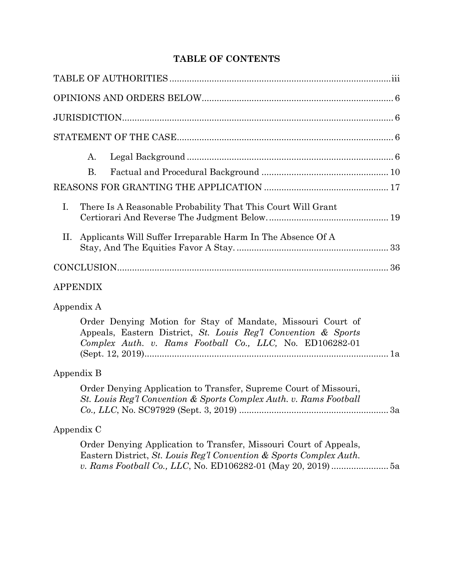# **TABLE OF CONTENTS**

| A.<br><b>B.</b><br>$I_{\cdot}$<br>There Is A Reasonable Probability That This Court Will Grant                                              |
|---------------------------------------------------------------------------------------------------------------------------------------------|
| Applicants Will Suffer Irreparable Harm In The Absence Of A<br>П.                                                                           |
|                                                                                                                                             |
| <b>APPENDIX</b>                                                                                                                             |
| Appendix A<br>Order Denying Motion for Stay of Mandate, Missouri Court of<br>Appeals, Eastern District, St. Louis Reg'l Convention & Sports |
| Complex Auth. v. Rams Football Co., LLC, No. ED106282-01                                                                                    |
| Appendix B                                                                                                                                  |
| Order Denying Application to Transfer, Supreme Court of Missouri,<br>St. Louis Reg'l Convention & Sports Complex Auth. v. Rams Football     |

# Appendix C

Order Denying Application to Transfer, Missouri Court of Appeals, Eastern District, *St. Louis Reg'l Convention & Sports Complex Auth. v. Rams Football Co., LLC*, No. ED106282-01 (May 20, 2019)....................... 5a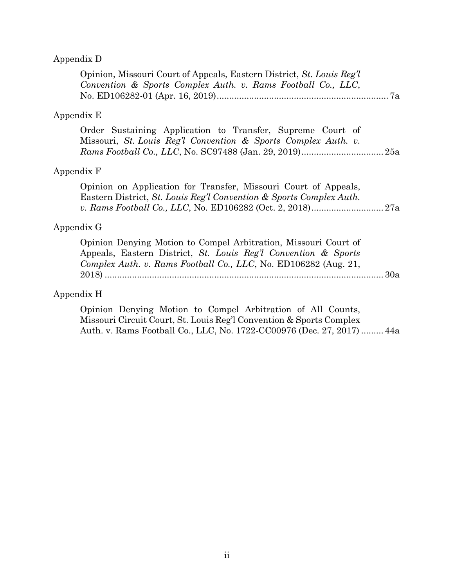# Appendix D

| Opinion, Missouri Court of Appeals, Eastern District, St. Louis Reg'l<br>Convention & Sports Complex Auth. v. Rams Football Co., LLC,                                                                |  |
|------------------------------------------------------------------------------------------------------------------------------------------------------------------------------------------------------|--|
| Appendix E                                                                                                                                                                                           |  |
| Order Sustaining Application to Transfer, Supreme Court of<br>Missouri, St. Louis Reg'l Convention & Sports Complex Auth. v.                                                                         |  |
| Appendix F                                                                                                                                                                                           |  |
| Opinion on Application for Transfer, Missouri Court of Appeals,<br>Eastern District, St. Louis Reg'l Convention & Sports Complex Auth.                                                               |  |
| Appendix G                                                                                                                                                                                           |  |
| Opinion Denying Motion to Compel Arbitration, Missouri Court of<br>Appeals, Eastern District, St. Louis Reg'l Convention & Sports<br>Complex Auth. v. Rams Football Co., LLC, No. ED106282 (Aug. 21, |  |
| Appendix H                                                                                                                                                                                           |  |
| Opinion Denying Motion to Compel Arbitration of All Counts,                                                                                                                                          |  |

Missouri Circuit Court, St. Louis Reg'l Convention & Sports Complex Auth. v. Rams Football Co., LLC, No. 1722-CC00976 (Dec. 27, 2017) ......... 44a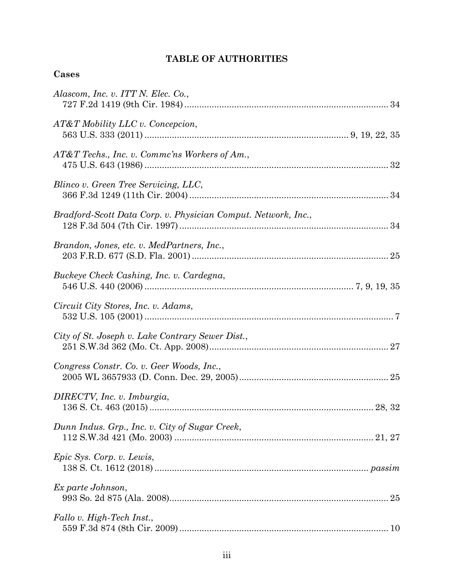# **TABLE OF AUTHORITIES**

# **Cases**

| Alascom, Inc. v. ITT N. Elec. Co.,                            |
|---------------------------------------------------------------|
| $AT&T$ Mobility LLC v. Concepcion,                            |
| AT&T Techs., Inc. v. Commc'ns Workers of Am.,                 |
| Blinco v. Green Tree Servicing, LLC,                          |
| Bradford-Scott Data Corp. v. Physician Comput. Network, Inc., |
| Brandon, Jones, etc. v. MedPartners, Inc.,                    |
| Buckeye Check Cashing, Inc. v. Cardegna,                      |
| Circuit City Stores, Inc. v. Adams,                           |
| City of St. Joseph v. Lake Contrary Sewer Dist.,              |
| Congress Constr. Co. v. Geer Woods, Inc.,                     |
| DIRECTV, Inc. v. Imburgia,                                    |
| Dunn Indus. Grp., Inc. v. City of Sugar Creek,                |
| Epic Sys. Corp. v. Lewis,                                     |
| Ex parte Johnson,                                             |
| Fallo v. High-Tech Inst.,                                     |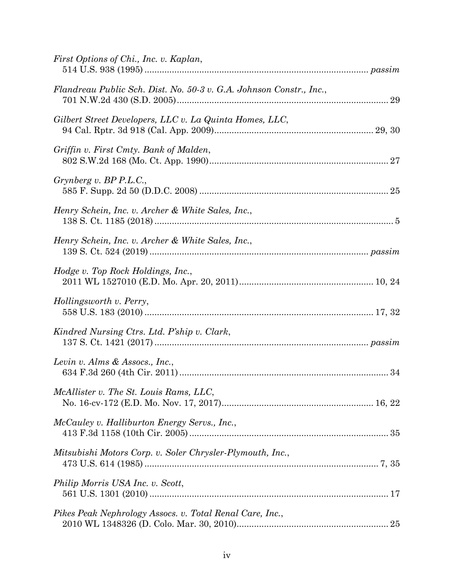| First Options of Chi., Inc. v. Kaplan,                              |  |
|---------------------------------------------------------------------|--|
| Flandreau Public Sch. Dist. No. 50-3 v. G.A. Johnson Constr., Inc., |  |
| Gilbert Street Developers, LLC v. La Quinta Homes, LLC,             |  |
| Griffin v. First Cmty. Bank of Malden,                              |  |
| Grynberg v. BP P.L.C.,                                              |  |
| Henry Schein, Inc. v. Archer & White Sales, Inc.,                   |  |
| Henry Schein, Inc. v. Archer & White Sales, Inc.,                   |  |
| Hodge v. Top Rock Holdings, Inc.,                                   |  |
| Hollingsworth v. Perry,                                             |  |
| Kindred Nursing Ctrs. Ltd. P'ship v. Clark,                         |  |
| Levin v. Alms & Assocs., Inc.,                                      |  |
| McAllister v. The St. Louis Rams, LLC,                              |  |
| McCauley v. Halliburton Energy Servs., Inc.,                        |  |
| Mitsubishi Motors Corp. v. Soler Chrysler-Plymouth, Inc.,           |  |
| Philip Morris USA Inc. v. Scott,                                    |  |
| Pikes Peak Nephrology Assocs. v. Total Renal Care, Inc.,            |  |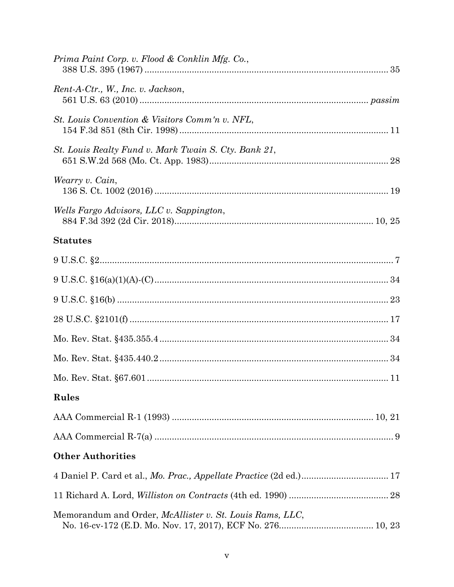| Prima Paint Corp. v. Flood & Conklin Mfg. Co.,                     |
|--------------------------------------------------------------------|
| Rent-A-Ctr., W., Inc. v. Jackson,                                  |
| St. Louis Convention & Visitors Comm'n v. NFL,                     |
| St. Louis Realty Fund v. Mark Twain S. Cty. Bank 21,               |
| Wearry v. Cain,                                                    |
| Wells Fargo Advisors, LLC v. Sappington,                           |
| <b>Statutes</b>                                                    |
|                                                                    |
|                                                                    |
|                                                                    |
|                                                                    |
|                                                                    |
|                                                                    |
|                                                                    |
| Rules                                                              |
|                                                                    |
|                                                                    |
| <b>Other Authorities</b>                                           |
| 4 Daniel P. Card et al., Mo. Prac., Appellate Practice (2d ed.) 17 |
|                                                                    |
| Memorandum and Order, <i>McAllister v. St. Louis Rams, LLC</i> ,   |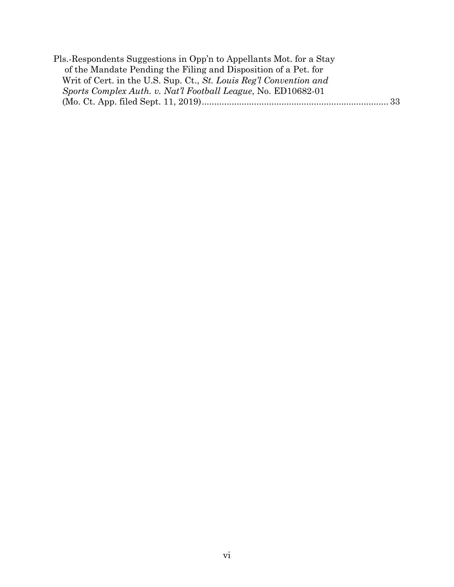| Pls.-Respondents Suggestions in Opp'n to Appellants Mot. for a Stay |  |
|---------------------------------------------------------------------|--|
| of the Mandate Pending the Filing and Disposition of a Pet. for     |  |
| Writ of Cert. in the U.S. Sup. Ct., St. Louis Reg'l Convention and  |  |
| Sports Complex Auth. v. Nat'l Football League, No. ED10682-01       |  |
|                                                                     |  |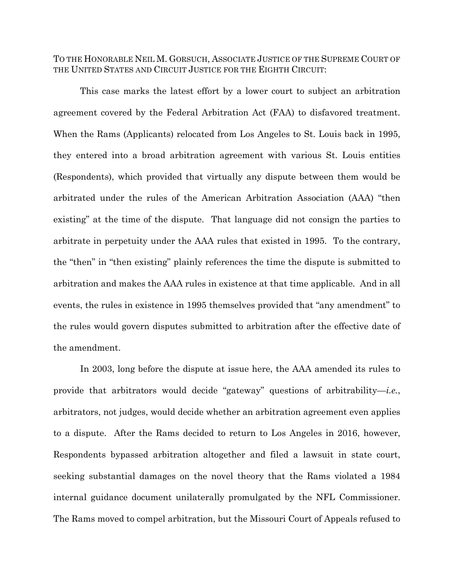TO THE HONORABLE NEIL M. GORSUCH, ASSOCIATE JUSTICE OF THE SUPREME COURT OF THE UNITED STATES AND CIRCUIT JUSTICE FOR THE EIGHTH CIRCUIT:

This case marks the latest effort by a lower court to subject an arbitration agreement covered by the Federal Arbitration Act (FAA) to disfavored treatment. When the Rams (Applicants) relocated from Los Angeles to St. Louis back in 1995, they entered into a broad arbitration agreement with various St. Louis entities (Respondents), which provided that virtually any dispute between them would be arbitrated under the rules of the American Arbitration Association (AAA) "then existing" at the time of the dispute. That language did not consign the parties to arbitrate in perpetuity under the AAA rules that existed in 1995. To the contrary, the "then" in "then existing" plainly references the time the dispute is submitted to arbitration and makes the AAA rules in existence at that time applicable. And in all events, the rules in existence in 1995 themselves provided that "any amendment" to the rules would govern disputes submitted to arbitration after the effective date of the amendment.

In 2003, long before the dispute at issue here, the AAA amended its rules to provide that arbitrators would decide "gateway" questions of arbitrability—*i.e.*, arbitrators, not judges, would decide whether an arbitration agreement even applies to a dispute. After the Rams decided to return to Los Angeles in 2016, however, Respondents bypassed arbitration altogether and filed a lawsuit in state court, seeking substantial damages on the novel theory that the Rams violated a 1984 internal guidance document unilaterally promulgated by the NFL Commissioner. The Rams moved to compel arbitration, but the Missouri Court of Appeals refused to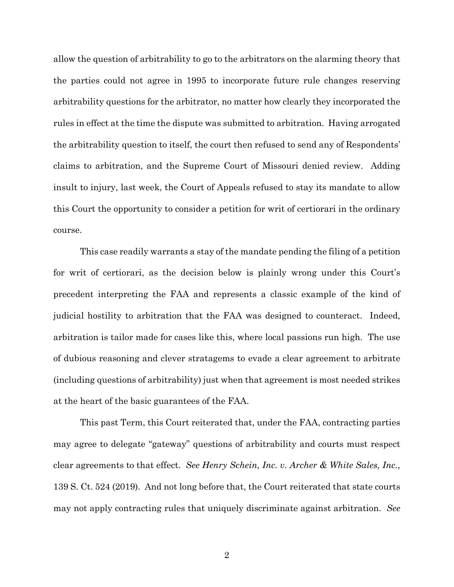allow the question of arbitrability to go to the arbitrators on the alarming theory that the parties could not agree in 1995 to incorporate future rule changes reserving arbitrability questions for the arbitrator, no matter how clearly they incorporated the rules in effect at the time the dispute was submitted to arbitration. Having arrogated the arbitrability question to itself, the court then refused to send any of Respondents' claims to arbitration, and the Supreme Court of Missouri denied review. Adding insult to injury, last week, the Court of Appeals refused to stay its mandate to allow this Court the opportunity to consider a petition for writ of certiorari in the ordinary course.

This case readily warrants a stay of the mandate pending the filing of a petition for writ of certiorari, as the decision below is plainly wrong under this Court's precedent interpreting the FAA and represents a classic example of the kind of judicial hostility to arbitration that the FAA was designed to counteract. Indeed, arbitration is tailor made for cases like this, where local passions run high. The use of dubious reasoning and clever stratagems to evade a clear agreement to arbitrate (including questions of arbitrability) just when that agreement is most needed strikes at the heart of the basic guarantees of the FAA.

This past Term, this Court reiterated that, under the FAA, contracting parties may agree to delegate "gateway" questions of arbitrability and courts must respect clear agreements to that effect. *See Henry Schein, Inc. v. Archer & White Sales, Inc.*, 139 S. Ct. 524 (2019). And not long before that, the Court reiterated that state courts may not apply contracting rules that uniquely discriminate against arbitration. *See*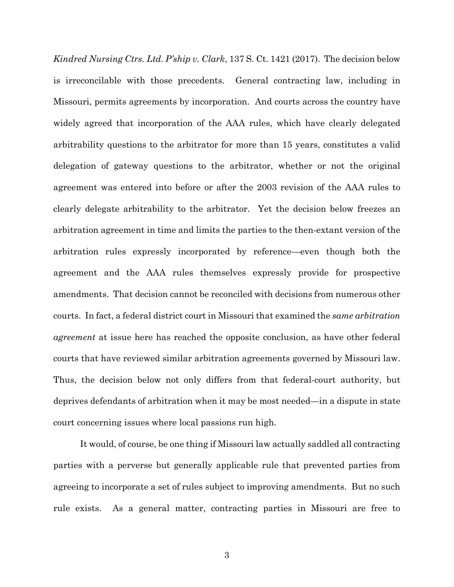*Kindred Nursing Ctrs. Ltd. P'ship v. Clark*, 137 S. Ct. 1421 (2017). The decision below is irreconcilable with those precedents. General contracting law, including in Missouri, permits agreements by incorporation. And courts across the country have widely agreed that incorporation of the AAA rules, which have clearly delegated arbitrability questions to the arbitrator for more than 15 years, constitutes a valid delegation of gateway questions to the arbitrator, whether or not the original agreement was entered into before or after the 2003 revision of the AAA rules to clearly delegate arbitrability to the arbitrator. Yet the decision below freezes an arbitration agreement in time and limits the parties to the then-extant version of the arbitration rules expressly incorporated by reference—even though both the agreement and the AAA rules themselves expressly provide for prospective amendments. That decision cannot be reconciled with decisions from numerous other courts. In fact, a federal district court in Missouri that examined the *same arbitration agreement* at issue here has reached the opposite conclusion, as have other federal courts that have reviewed similar arbitration agreements governed by Missouri law. Thus, the decision below not only differs from that federal-court authority, but deprives defendants of arbitration when it may be most needed—in a dispute in state court concerning issues where local passions run high.

It would, of course, be one thing if Missouri law actually saddled all contracting parties with a perverse but generally applicable rule that prevented parties from agreeing to incorporate a set of rules subject to improving amendments. But no such rule exists. As a general matter, contracting parties in Missouri are free to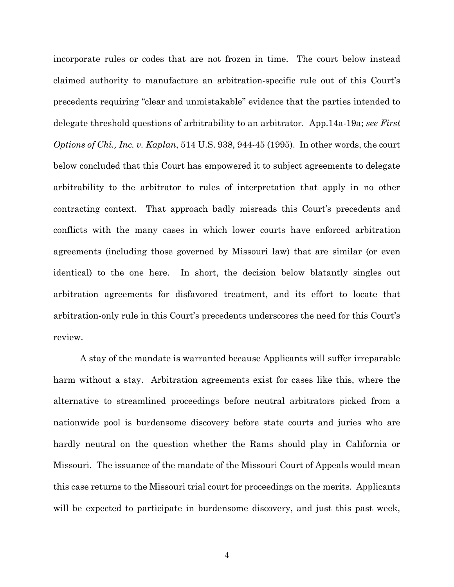incorporate rules or codes that are not frozen in time. The court below instead claimed authority to manufacture an arbitration-specific rule out of this Court's precedents requiring "clear and unmistakable" evidence that the parties intended to delegate threshold questions of arbitrability to an arbitrator.App.14a-19a; *see First Options of Chi., Inc. v. Kaplan*, 514 U.S. 938, 944-45 (1995). In other words, the court below concluded that this Court has empowered it to subject agreements to delegate arbitrability to the arbitrator to rules of interpretation that apply in no other contracting context. That approach badly misreads this Court's precedents and conflicts with the many cases in which lower courts have enforced arbitration agreements (including those governed by Missouri law) that are similar (or even identical) to the one here. In short, the decision below blatantly singles out arbitration agreements for disfavored treatment, and its effort to locate that arbitration-only rule in this Court's precedents underscores the need for this Court's review.

A stay of the mandate is warranted because Applicants will suffer irreparable harm without a stay. Arbitration agreements exist for cases like this, where the alternative to streamlined proceedings before neutral arbitrators picked from a nationwide pool is burdensome discovery before state courts and juries who are hardly neutral on the question whether the Rams should play in California or Missouri. The issuance of the mandate of the Missouri Court of Appeals would mean this case returns to the Missouri trial court for proceedings on the merits. Applicants will be expected to participate in burdensome discovery, and just this past week,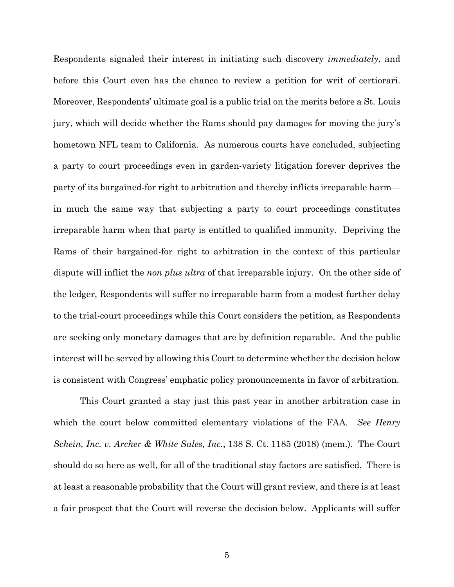Respondents signaled their interest in initiating such discovery *immediately*, and before this Court even has the chance to review a petition for writ of certiorari. Moreover, Respondents' ultimate goal is a public trial on the merits before a St. Louis jury, which will decide whether the Rams should pay damages for moving the jury's hometown NFL team to California. As numerous courts have concluded, subjecting a party to court proceedings even in garden-variety litigation forever deprives the party of its bargained-for right to arbitration and thereby inflicts irreparable harm in much the same way that subjecting a party to court proceedings constitutes irreparable harm when that party is entitled to qualified immunity. Depriving the Rams of their bargained-for right to arbitration in the context of this particular dispute will inflict the *non plus ultra* of that irreparable injury. On the other side of the ledger, Respondents will suffer no irreparable harm from a modest further delay to the trial-court proceedings while this Court considers the petition, as Respondents are seeking only monetary damages that are by definition reparable. And the public interest will be served by allowing this Court to determine whether the decision below is consistent with Congress' emphatic policy pronouncements in favor of arbitration.

This Court granted a stay just this past year in another arbitration case in which the court below committed elementary violations of the FAA. *See Henry Schein, Inc. v. Archer & White Sales, Inc.*, 138 S. Ct. 1185 (2018) (mem.). The Court should do so here as well, for all of the traditional stay factors are satisfied. There is at least a reasonable probability that the Court will grant review, and there is at least a fair prospect that the Court will reverse the decision below. Applicants will suffer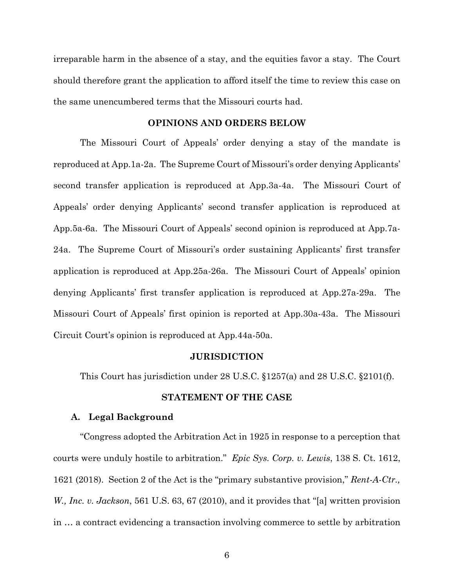irreparable harm in the absence of a stay, and the equities favor a stay. The Court should therefore grant the application to afford itself the time to review this case on the same unencumbered terms that the Missouri courts had.

## **OPINIONS AND ORDERS BELOW**

The Missouri Court of Appeals' order denying a stay of the mandate is reproduced at App.1a-2a. The Supreme Court of Missouri's order denying Applicants' second transfer application is reproduced at App.3a-4a. The Missouri Court of Appeals' order denying Applicants' second transfer application is reproduced at App.5a-6a. The Missouri Court of Appeals' second opinion is reproduced at App.7a-24a. The Supreme Court of Missouri's order sustaining Applicants' first transfer application is reproduced at App.25a-26a. The Missouri Court of Appeals' opinion denying Applicants' first transfer application is reproduced at App.27a-29a. The Missouri Court of Appeals' first opinion is reported at App.30a-43a. The Missouri Circuit Court's opinion is reproduced at App.44a-50a.

#### **JURISDICTION**

This Court has jurisdiction under 28 U.S.C. §1257(a) and 28 U.S.C. §2101(f).

#### **STATEMENT OF THE CASE**

## **A. Legal Background**

"Congress adopted the Arbitration Act in 1925 in response to a perception that courts were unduly hostile to arbitration." *Epic Sys. Corp. v. Lewis*, 138 S. Ct. 1612, 1621 (2018). Section 2 of the Act is the "primary substantive provision," *Rent-A-Ctr., W., Inc. v. Jackson*, 561 U.S. 63, 67 (2010), and it provides that "[a] written provision in … a contract evidencing a transaction involving commerce to settle by arbitration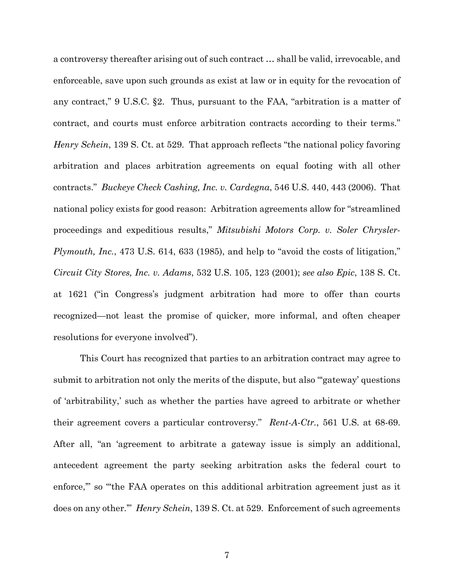a controversy thereafter arising out of such contract … shall be valid, irrevocable, and enforceable, save upon such grounds as exist at law or in equity for the revocation of any contract," 9 U.S.C. §2. Thus, pursuant to the FAA, "arbitration is a matter of contract, and courts must enforce arbitration contracts according to their terms." *Henry Schein*, 139 S. Ct. at 529. That approach reflects "the national policy favoring arbitration and places arbitration agreements on equal footing with all other contracts." *Buckeye Check Cashing, Inc. v. Cardegna*, 546 U.S. 440, 443 (2006). That national policy exists for good reason: Arbitration agreements allow for "streamlined proceedings and expeditious results," *Mitsubishi Motors Corp. v. Soler Chrysler-Plymouth, Inc.*, 473 U.S. 614, 633 (1985), and help to "avoid the costs of litigation," *Circuit City Stores, Inc. v. Adams*, 532 U.S. 105, 123 (2001); *see also Epic*, 138 S. Ct. at 1621 ("in Congress's judgment arbitration had more to offer than courts recognized—not least the promise of quicker, more informal, and often cheaper resolutions for everyone involved").

This Court has recognized that parties to an arbitration contract may agree to submit to arbitration not only the merits of the dispute, but also "gateway' questions of 'arbitrability,' such as whether the parties have agreed to arbitrate or whether their agreement covers a particular controversy." *Rent-A-Ctr.*, 561 U.S. at 68-69. After all, "an 'agreement to arbitrate a gateway issue is simply an additional, antecedent agreement the party seeking arbitration asks the federal court to enforce," so "the FAA operates on this additional arbitration agreement just as it does on any other.'" *Henry Schein*, 139 S. Ct. at 529. Enforcement of such agreements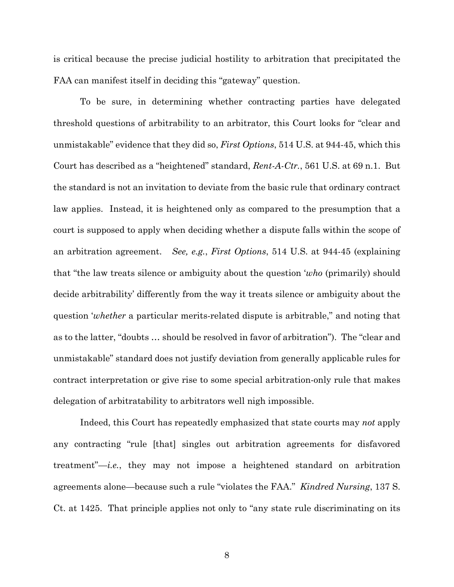is critical because the precise judicial hostility to arbitration that precipitated the FAA can manifest itself in deciding this "gateway" question.

To be sure, in determining whether contracting parties have delegated threshold questions of arbitrability to an arbitrator, this Court looks for "clear and unmistakable" evidence that they did so, *First Options*, 514 U.S. at 944-45, which this Court has described as a "heightened" standard, *Rent-A-Ctr.*, 561 U.S. at 69 n.1. But the standard is not an invitation to deviate from the basic rule that ordinary contract law applies. Instead, it is heightened only as compared to the presumption that a court is supposed to apply when deciding whether a dispute falls within the scope of an arbitration agreement. *See, e.g.*, *First Options*, 514 U.S. at 944-45 (explaining that "the law treats silence or ambiguity about the question '*who* (primarily) should decide arbitrability' differently from the way it treats silence or ambiguity about the question '*whether* a particular merits-related dispute is arbitrable," and noting that as to the latter, "doubts … should be resolved in favor of arbitration"). The "clear and unmistakable" standard does not justify deviation from generally applicable rules for contract interpretation or give rise to some special arbitration-only rule that makes delegation of arbitratability to arbitrators well nigh impossible.

Indeed, this Court has repeatedly emphasized that state courts may *not* apply any contracting "rule [that] singles out arbitration agreements for disfavored treatment"—*i.e.*, they may not impose a heightened standard on arbitration agreements alone—because such a rule "violates the FAA." *Kindred Nursing*, 137 S. Ct. at 1425. That principle applies not only to "any state rule discriminating on its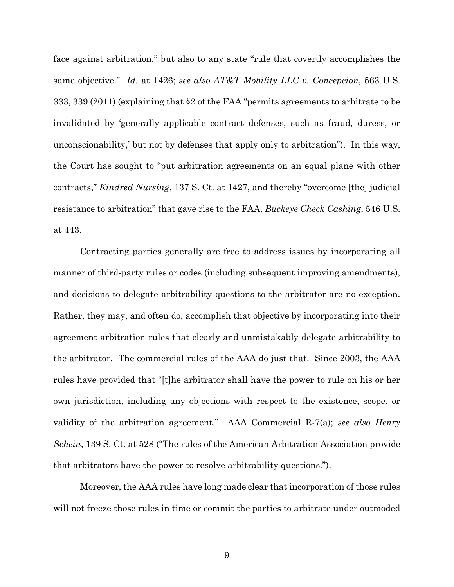face against arbitration," but also to any state "rule that covertly accomplishes the same objective." *Id.* at 1426; *see also AT&T Mobility LLC v. Concepcion*, 563 U.S. 333, 339 (2011) (explaining that §2 of the FAA "permits agreements to arbitrate to be invalidated by 'generally applicable contract defenses, such as fraud, duress, or unconscionability,' but not by defenses that apply only to arbitration"). In this way, the Court has sought to "put arbitration agreements on an equal plane with other contracts," *Kindred Nursing*, 137 S. Ct. at 1427, and thereby "overcome [the] judicial resistance to arbitration" that gave rise to the FAA, *Buckeye Check Cashing*, 546 U.S. at 443.

Contracting parties generally are free to address issues by incorporating all manner of third-party rules or codes (including subsequent improving amendments), and decisions to delegate arbitrability questions to the arbitrator are no exception. Rather, they may, and often do, accomplish that objective by incorporating into their agreement arbitration rules that clearly and unmistakably delegate arbitrability to the arbitrator. The commercial rules of the AAA do just that. Since 2003, the AAA rules have provided that "[t]he arbitrator shall have the power to rule on his or her own jurisdiction, including any objections with respect to the existence, scope, or validity of the arbitration agreement." AAA Commercial R-7(a); *see also Henry Schein*, 139 S. Ct. at 528 ("The rules of the American Arbitration Association provide that arbitrators have the power to resolve arbitrability questions.").

Moreover, the AAA rules have long made clear that incorporation of those rules will not freeze those rules in time or commit the parties to arbitrate under outmoded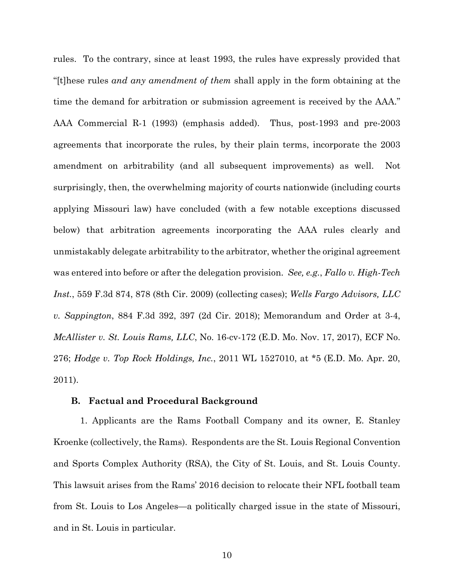rules. To the contrary, since at least 1993, the rules have expressly provided that "[t]hese rules *and any amendment of them* shall apply in the form obtaining at the time the demand for arbitration or submission agreement is received by the AAA." AAA Commercial R-1 (1993) (emphasis added). Thus, post-1993 and pre-2003 agreements that incorporate the rules, by their plain terms, incorporate the 2003 amendment on arbitrability (and all subsequent improvements) as well. Not surprisingly, then, the overwhelming majority of courts nationwide (including courts applying Missouri law) have concluded (with a few notable exceptions discussed below) that arbitration agreements incorporating the AAA rules clearly and unmistakably delegate arbitrability to the arbitrator, whether the original agreement was entered into before or after the delegation provision. *See, e.g.*, *Fallo v. High-Tech Inst.*, 559 F.3d 874, 878 (8th Cir. 2009) (collecting cases); *Wells Fargo Advisors, LLC v. Sappington*, 884 F.3d 392, 397 (2d Cir. 2018); Memorandum and Order at 3-4, *McAllister v. St. Louis Rams, LLC*, No. 16-cv-172 (E.D. Mo. Nov. 17, 2017), ECF No. 276; *Hodge v. Top Rock Holdings, Inc.*, 2011 WL 1527010, at \*5 (E.D. Mo. Apr. 20, 2011).

#### **B. Factual and Procedural Background**

1. Applicants are the Rams Football Company and its owner, E. Stanley Kroenke (collectively, the Rams). Respondents are the St. Louis Regional Convention and Sports Complex Authority (RSA), the City of St. Louis, and St. Louis County. This lawsuit arises from the Rams' 2016 decision to relocate their NFL football team from St. Louis to Los Angeles—a politically charged issue in the state of Missouri, and in St. Louis in particular.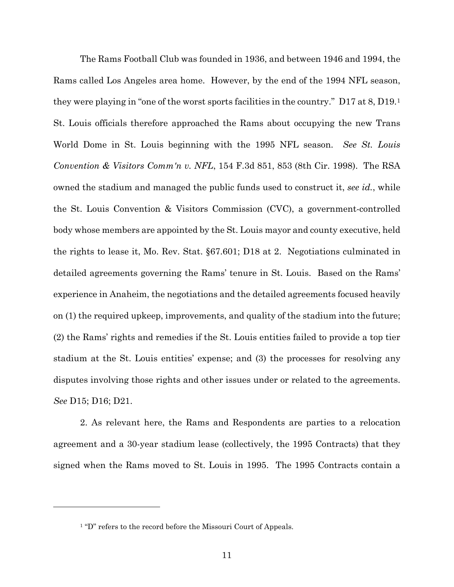The Rams Football Club was founded in 1936, and between 1946 and 1994, the Rams called Los Angeles area home. However, by the end of the 1994 NFL season, they were playing in "one of the worst sports facilities in the country." D17 at 8, D19.[1](#page-17-0) St. Louis officials therefore approached the Rams about occupying the new Trans World Dome in St. Louis beginning with the 1995 NFL season. *See St. Louis Convention & Visitors Comm'n v. NFL*, 154 F.3d 851, 853 (8th Cir. 1998). The RSA owned the stadium and managed the public funds used to construct it, *see id.*, while the St. Louis Convention & Visitors Commission (CVC), a government-controlled body whose members are appointed by the St. Louis mayor and county executive, held the rights to lease it, Mo. Rev. Stat. §67.601; D18 at 2. Negotiations culminated in detailed agreements governing the Rams' tenure in St. Louis. Based on the Rams' experience in Anaheim, the negotiations and the detailed agreements focused heavily on (1) the required upkeep, improvements, and quality of the stadium into the future; (2) the Rams' rights and remedies if the St. Louis entities failed to provide a top tier stadium at the St. Louis entities' expense; and (3) the processes for resolving any disputes involving those rights and other issues under or related to the agreements. *See* D15; D16; D21.

2. As relevant here, the Rams and Respondents are parties to a relocation agreement and a 30-year stadium lease (collectively, the 1995 Contracts) that they signed when the Rams moved to St. Louis in 1995. The 1995 Contracts contain a

<span id="page-17-0"></span><u>.</u>

<sup>&</sup>lt;sup>1</sup> "D" refers to the record before the Missouri Court of Appeals.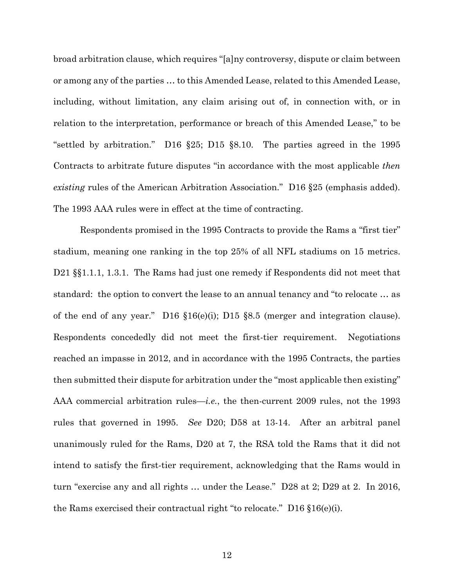broad arbitration clause, which requires "[a]ny controversy, dispute or claim between or among any of the parties … to this Amended Lease, related to this Amended Lease, including, without limitation, any claim arising out of, in connection with, or in relation to the interpretation, performance or breach of this Amended Lease," to be "settled by arbitration." D16 §25; D15 §8.10. The parties agreed in the 1995 Contracts to arbitrate future disputes "in accordance with the most applicable *then existing* rules of the American Arbitration Association." D16 §25 (emphasis added). The 1993 AAA rules were in effect at the time of contracting.

Respondents promised in the 1995 Contracts to provide the Rams a "first tier" stadium, meaning one ranking in the top 25% of all NFL stadiums on 15 metrics. D21 §§1.1.1, 1.3.1. The Rams had just one remedy if Respondents did not meet that standard: the option to convert the lease to an annual tenancy and "to relocate … as of the end of any year." D16 §16(e)(i); D15 §8.5 (merger and integration clause). Respondents concededly did not meet the first-tier requirement. Negotiations reached an impasse in 2012, and in accordance with the 1995 Contracts, the parties then submitted their dispute for arbitration under the "most applicable then existing" AAA commercial arbitration rules—*i.e.*, the then-current 2009 rules, not the 1993 rules that governed in 1995. *See* D20; D58 at 13-14. After an arbitral panel unanimously ruled for the Rams, D20 at 7, the RSA told the Rams that it did not intend to satisfy the first-tier requirement, acknowledging that the Rams would in turn "exercise any and all rights … under the Lease." D28 at 2; D29 at 2. In 2016, the Rams exercised their contractual right "to relocate." D16 §16(e)(i).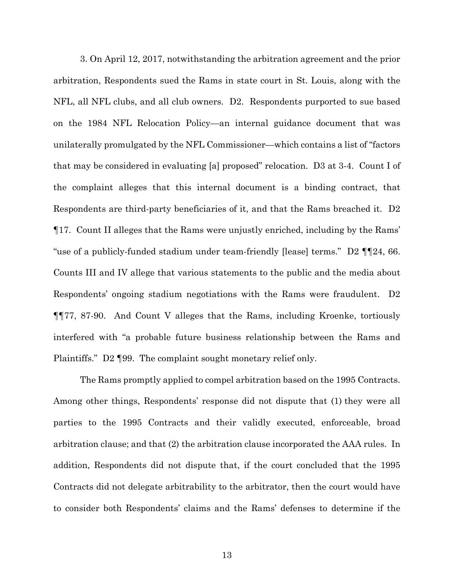3. On April 12, 2017, notwithstanding the arbitration agreement and the prior arbitration, Respondents sued the Rams in state court in St. Louis, along with the NFL, all NFL clubs, and all club owners. D2. Respondents purported to sue based on the 1984 NFL Relocation Policy—an internal guidance document that was unilaterally promulgated by the NFL Commissioner—which contains a list of "factors that may be considered in evaluating [a] proposed" relocation. D3 at 3-4. Count I of the complaint alleges that this internal document is a binding contract, that Respondents are third-party beneficiaries of it, and that the Rams breached it. D2 ¶17. Count II alleges that the Rams were unjustly enriched, including by the Rams' "use of a publicly-funded stadium under team-friendly [lease] terms." D2 ¶¶24, 66. Counts III and IV allege that various statements to the public and the media about Respondents' ongoing stadium negotiations with the Rams were fraudulent. D2 ¶¶77, 87-90. And Count V alleges that the Rams, including Kroenke, tortiously interfered with "a probable future business relationship between the Rams and Plaintiffs." D2 ¶99. The complaint sought monetary relief only.

The Rams promptly applied to compel arbitration based on the 1995 Contracts. Among other things, Respondents' response did not dispute that (1) they were all parties to the 1995 Contracts and their validly executed, enforceable, broad arbitration clause; and that (2) the arbitration clause incorporated the AAA rules. In addition, Respondents did not dispute that, if the court concluded that the 1995 Contracts did not delegate arbitrability to the arbitrator, then the court would have to consider both Respondents' claims and the Rams' defenses to determine if the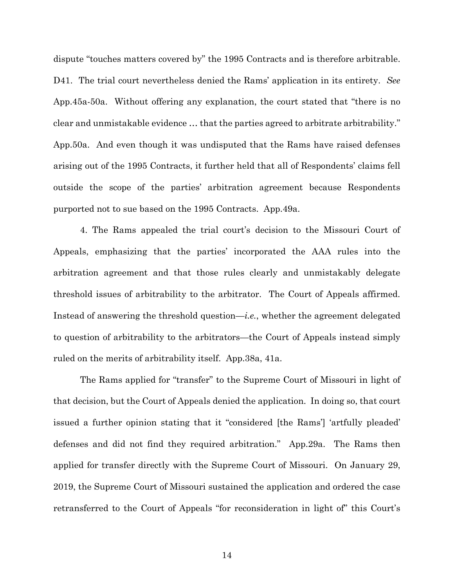dispute "touches matters covered by" the 1995 Contracts and is therefore arbitrable. D41. The trial court nevertheless denied the Rams' application in its entirety. *See*  App.45a-50a. Without offering any explanation, the court stated that "there is no clear and unmistakable evidence … that the parties agreed to arbitrate arbitrability." App.50a. And even though it was undisputed that the Rams have raised defenses arising out of the 1995 Contracts, it further held that all of Respondents' claims fell outside the scope of the parties' arbitration agreement because Respondents purported not to sue based on the 1995 Contracts. App.49a.

4. The Rams appealed the trial court's decision to the Missouri Court of Appeals, emphasizing that the parties' incorporated the AAA rules into the arbitration agreement and that those rules clearly and unmistakably delegate threshold issues of arbitrability to the arbitrator. The Court of Appeals affirmed. Instead of answering the threshold question—*i.e.*, whether the agreement delegated to question of arbitrability to the arbitrators—the Court of Appeals instead simply ruled on the merits of arbitrability itself. App.38a, 41a.

The Rams applied for "transfer" to the Supreme Court of Missouri in light of that decision, but the Court of Appeals denied the application. In doing so, that court issued a further opinion stating that it "considered [the Rams'] 'artfully pleaded' defenses and did not find they required arbitration." App.29a. The Rams then applied for transfer directly with the Supreme Court of Missouri. On January 29, 2019, the Supreme Court of Missouri sustained the application and ordered the case retransferred to the Court of Appeals "for reconsideration in light of" this Court's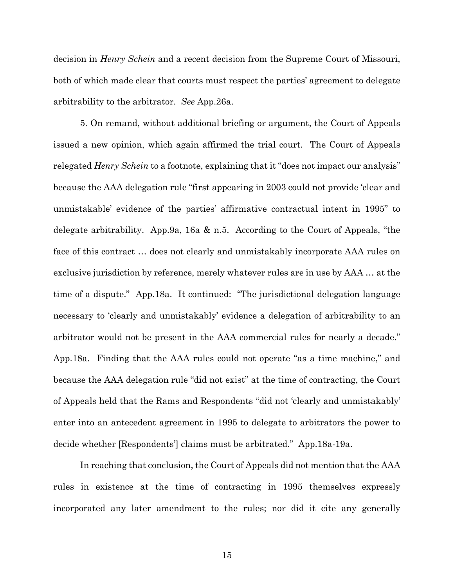decision in *Henry Schein* and a recent decision from the Supreme Court of Missouri, both of which made clear that courts must respect the parties' agreement to delegate arbitrability to the arbitrator. *See* App.26a.

5. On remand, without additional briefing or argument, the Court of Appeals issued a new opinion, which again affirmed the trial court. The Court of Appeals relegated *Henry Schein* to a footnote, explaining that it "does not impact our analysis" because the AAA delegation rule "first appearing in 2003 could not provide 'clear and unmistakable' evidence of the parties' affirmative contractual intent in 1995" to delegate arbitrability. App.9a, 16a & n.5. According to the Court of Appeals, "the face of this contract … does not clearly and unmistakably incorporate AAA rules on exclusive jurisdiction by reference, merely whatever rules are in use by AAA … at the time of a dispute." App.18a. It continued: "The jurisdictional delegation language necessary to 'clearly and unmistakably' evidence a delegation of arbitrability to an arbitrator would not be present in the AAA commercial rules for nearly a decade." App.18a. Finding that the AAA rules could not operate "as a time machine," and because the AAA delegation rule "did not exist" at the time of contracting, the Court of Appeals held that the Rams and Respondents "did not 'clearly and unmistakably' enter into an antecedent agreement in 1995 to delegate to arbitrators the power to decide whether [Respondents'] claims must be arbitrated." App.18a-19a.

In reaching that conclusion, the Court of Appeals did not mention that the AAA rules in existence at the time of contracting in 1995 themselves expressly incorporated any later amendment to the rules; nor did it cite any generally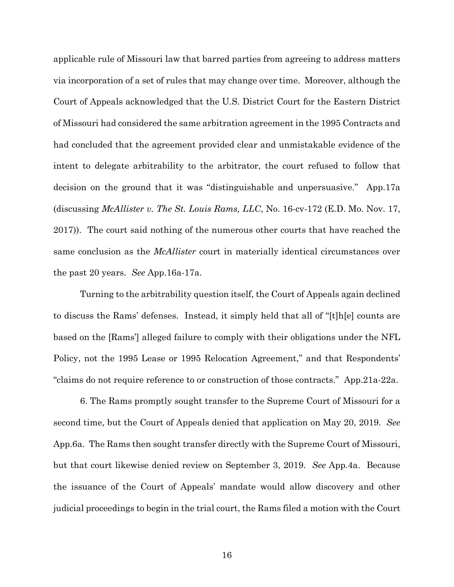applicable rule of Missouri law that barred parties from agreeing to address matters via incorporation of a set of rules that may change over time. Moreover, although the Court of Appeals acknowledged that the U.S. District Court for the Eastern District of Missouri had considered the same arbitration agreement in the 1995 Contracts and had concluded that the agreement provided clear and unmistakable evidence of the intent to delegate arbitrability to the arbitrator, the court refused to follow that decision on the ground that it was "distinguishable and unpersuasive." App.17a (discussing *McAllister v. The St. Louis Rams, LLC*, No. 16-cv-172 (E.D. Mo. Nov. 17, 2017)). The court said nothing of the numerous other courts that have reached the same conclusion as the *McAllister* court in materially identical circumstances over the past 20 years. *See* App.16a-17a.

Turning to the arbitrability question itself, the Court of Appeals again declined to discuss the Rams' defenses. Instead, it simply held that all of "[t]h[e] counts are based on the [Rams'] alleged failure to comply with their obligations under the NFL Policy, not the 1995 Lease or 1995 Relocation Agreement," and that Respondents' "claims do not require reference to or construction of those contracts." App.21a-22a.

6. The Rams promptly sought transfer to the Supreme Court of Missouri for a second time, but the Court of Appeals denied that application on May 20, 2019. *See*  App.6a. The Rams then sought transfer directly with the Supreme Court of Missouri, but that court likewise denied review on September 3, 2019. *See* App.4a. Because the issuance of the Court of Appeals' mandate would allow discovery and other judicial proceedings to begin in the trial court, the Rams filed a motion with the Court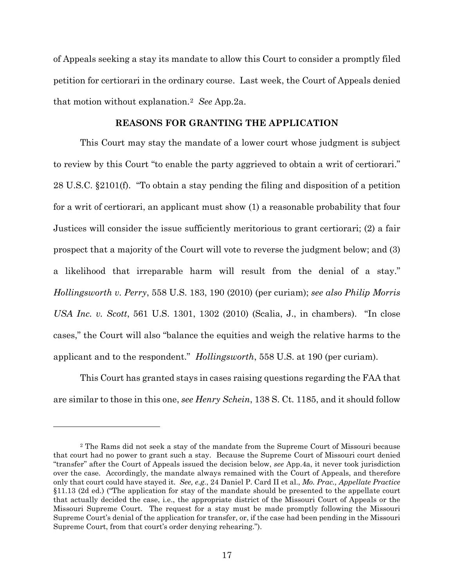of Appeals seeking a stay its mandate to allow this Court to consider a promptly filed petition for certiorari in the ordinary course. Last week, the Court of Appeals denied that motion without explanation.[2](#page-23-0) *See* App.2a.

## **REASONS FOR GRANTING THE APPLICATION**

This Court may stay the mandate of a lower court whose judgment is subject to review by this Court "to enable the party aggrieved to obtain a writ of certiorari." 28 U.S.C. §2101(f). "To obtain a stay pending the filing and disposition of a petition for a writ of certiorari, an applicant must show (1) a reasonable probability that four Justices will consider the issue sufficiently meritorious to grant certiorari; (2) a fair prospect that a majority of the Court will vote to reverse the judgment below; and (3) a likelihood that irreparable harm will result from the denial of a stay." *Hollingsworth v. Perry*, 558 U.S. 183, 190 (2010) (per curiam); *see also Philip Morris USA Inc. v. Scott*, 561 U.S. 1301, 1302 (2010) (Scalia, J., in chambers). "In close cases," the Court will also "balance the equities and weigh the relative harms to the applicant and to the respondent." *Hollingsworth*, 558 U.S. at 190 (per curiam).

This Court has granted stays in cases raising questions regarding the FAA that are similar to those in this one, *see Henry Schein*, 138 S. Ct. 1185, and it should follow

<span id="page-23-0"></span><sup>2</sup> The Rams did not seek a stay of the mandate from the Supreme Court of Missouri because that court had no power to grant such a stay. Because the Supreme Court of Missouri court denied "transfer" after the Court of Appeals issued the decision below, *see* App.4a, it never took jurisdiction over the case. Accordingly, the mandate always remained with the Court of Appeals, and therefore only that court could have stayed it. *See, e.g.*, 24 Daniel P. Card II et al., *Mo. Prac., Appellate Practice* §11.13 (2d ed.) ("The application for stay of the mandate should be presented to the appellate court that actually decided the case, i.e., the appropriate district of the Missouri Court of Appeals or the Missouri Supreme Court. The request for a stay must be made promptly following the Missouri Supreme Court's denial of the application for transfer, or, if the case had been pending in the Missouri Supreme Court, from that court's order denying rehearing.").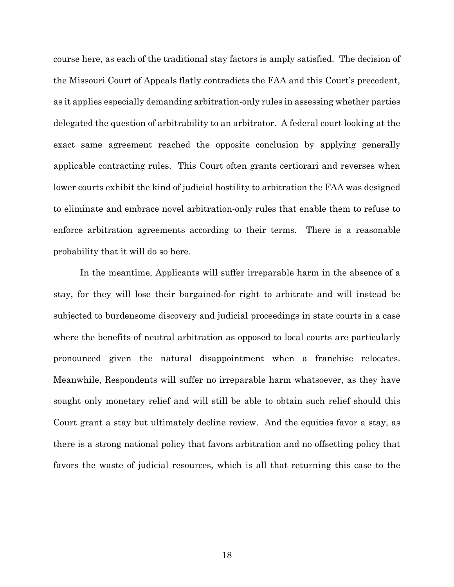course here, as each of the traditional stay factors is amply satisfied. The decision of the Missouri Court of Appeals flatly contradicts the FAA and this Court's precedent, as it applies especially demanding arbitration-only rules in assessing whether parties delegated the question of arbitrability to an arbitrator. A federal court looking at the exact same agreement reached the opposite conclusion by applying generally applicable contracting rules. This Court often grants certiorari and reverses when lower courts exhibit the kind of judicial hostility to arbitration the FAA was designed to eliminate and embrace novel arbitration-only rules that enable them to refuse to enforce arbitration agreements according to their terms. There is a reasonable probability that it will do so here.

In the meantime, Applicants will suffer irreparable harm in the absence of a stay, for they will lose their bargained-for right to arbitrate and will instead be subjected to burdensome discovery and judicial proceedings in state courts in a case where the benefits of neutral arbitration as opposed to local courts are particularly pronounced given the natural disappointment when a franchise relocates. Meanwhile, Respondents will suffer no irreparable harm whatsoever, as they have sought only monetary relief and will still be able to obtain such relief should this Court grant a stay but ultimately decline review. And the equities favor a stay, as there is a strong national policy that favors arbitration and no offsetting policy that favors the waste of judicial resources, which is all that returning this case to the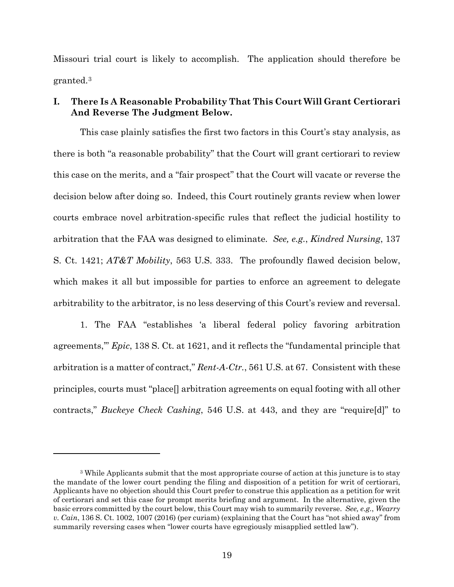Missouri trial court is likely to accomplish. The application should therefore be granted.[3](#page-25-0)

# **I. There Is A Reasonable Probability That This Court Will Grant Certiorari And Reverse The Judgment Below.**

This case plainly satisfies the first two factors in this Court's stay analysis, as there is both "a reasonable probability" that the Court will grant certiorari to review this case on the merits, and a "fair prospect" that the Court will vacate or reverse the decision below after doing so. Indeed, this Court routinely grants review when lower courts embrace novel arbitration-specific rules that reflect the judicial hostility to arbitration that the FAA was designed to eliminate. *See, e.g.*, *Kindred Nursing*, 137 S. Ct. 1421; *AT&T Mobility*, 563 U.S. 333. The profoundly flawed decision below, which makes it all but impossible for parties to enforce an agreement to delegate arbitrability to the arbitrator, is no less deserving of this Court's review and reversal.

1. The FAA "establishes 'a liberal federal policy favoring arbitration agreements,'" *Epic*, 138 S. Ct. at 1621, and it reflects the "fundamental principle that arbitration is a matter of contract," *Rent-A-Ctr.*, 561 U.S. at 67. Consistent with these principles, courts must "place[] arbitration agreements on equal footing with all other contracts," *Buckeye Check Cashing*, 546 U.S. at 443, and they are "require[d]" to

<span id="page-25-0"></span><sup>3</sup> While Applicants submit that the most appropriate course of action at this juncture is to stay the mandate of the lower court pending the filing and disposition of a petition for writ of certiorari, Applicants have no objection should this Court prefer to construe this application as a petition for writ of certiorari and set this case for prompt merits briefing and argument. In the alternative, given the basic errors committed by the court below, this Court may wish to summarily reverse. *See, e.g.*, *Wearry v. Cain*, 136 S. Ct. 1002, 1007 (2016) (per curiam) (explaining that the Court has "not shied away" from summarily reversing cases when "lower courts have egregiously misapplied settled law").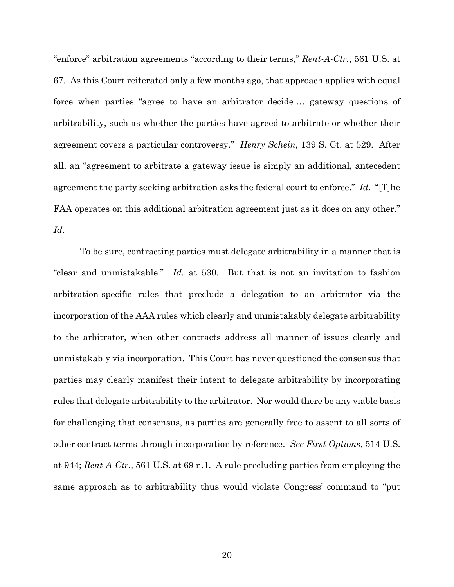"enforce" arbitration agreements "according to their terms," *Rent-A-Ctr.*, 561 U.S. at 67. As this Court reiterated only a few months ago, that approach applies with equal force when parties "agree to have an arbitrator decide … gateway questions of arbitrability, such as whether the parties have agreed to arbitrate or whether their agreement covers a particular controversy." *Henry Schein*, 139 S. Ct. at 529. After all, an "agreement to arbitrate a gateway issue is simply an additional, antecedent agreement the party seeking arbitration asks the federal court to enforce." *Id.* "[T]he FAA operates on this additional arbitration agreement just as it does on any other." *Id.*

To be sure, contracting parties must delegate arbitrability in a manner that is "clear and unmistakable." *Id.* at 530. But that is not an invitation to fashion arbitration-specific rules that preclude a delegation to an arbitrator via the incorporation of the AAA rules which clearly and unmistakably delegate arbitrability to the arbitrator, when other contracts address all manner of issues clearly and unmistakably via incorporation. This Court has never questioned the consensus that parties may clearly manifest their intent to delegate arbitrability by incorporating rules that delegate arbitrability to the arbitrator. Nor would there be any viable basis for challenging that consensus, as parties are generally free to assent to all sorts of other contract terms through incorporation by reference. *See First Options*, 514 U.S. at 944; *Rent-A-Ctr.*, 561 U.S. at 69 n.1. A rule precluding parties from employing the same approach as to arbitrability thus would violate Congress' command to "put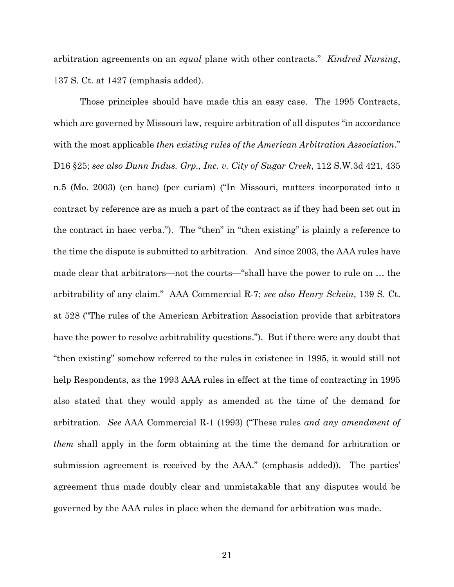arbitration agreements on an *equal* plane with other contracts." *Kindred Nursing*, 137 S. Ct. at 1427 (emphasis added).

Those principles should have made this an easy case. The 1995 Contracts, which are governed by Missouri law, require arbitration of all disputes "in accordance with the most applicable *then existing rules of the American Arbitration Association*." D16 §25; *see also Dunn Indus. Grp., Inc. v. City of Sugar Creek*, 112 S.W.3d 421, 435 n.5 (Mo. 2003) (en banc) (per curiam) ("In Missouri, matters incorporated into a contract by reference are as much a part of the contract as if they had been set out in the contract in haec verba."). The "then" in "then existing" is plainly a reference to the time the dispute is submitted to arbitration. And since 2003, the AAA rules have made clear that arbitrators—not the courts—"shall have the power to rule on … the arbitrability of any claim." AAA Commercial R-7; *see also Henry Schein*, 139 S. Ct. at 528 ("The rules of the American Arbitration Association provide that arbitrators have the power to resolve arbitrability questions."). But if there were any doubt that "then existing" somehow referred to the rules in existence in 1995, it would still not help Respondents, as the 1993 AAA rules in effect at the time of contracting in 1995 also stated that they would apply as amended at the time of the demand for arbitration. *See* AAA Commercial R-1 (1993) ("These rules *and any amendment of them* shall apply in the form obtaining at the time the demand for arbitration or submission agreement is received by the AAA." (emphasis added)). The parties' agreement thus made doubly clear and unmistakable that any disputes would be governed by the AAA rules in place when the demand for arbitration was made.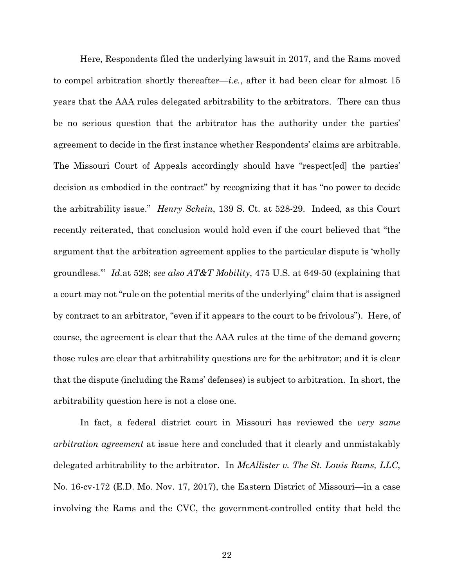Here, Respondents filed the underlying lawsuit in 2017, and the Rams moved to compel arbitration shortly thereafter—*i.e.*, after it had been clear for almost 15 years that the AAA rules delegated arbitrability to the arbitrators. There can thus be no serious question that the arbitrator has the authority under the parties' agreement to decide in the first instance whether Respondents' claims are arbitrable. The Missouri Court of Appeals accordingly should have "respect[ed] the parties' decision as embodied in the contract" by recognizing that it has "no power to decide the arbitrability issue." *Henry Schein*, 139 S. Ct. at 528-29. Indeed, as this Court recently reiterated, that conclusion would hold even if the court believed that "the argument that the arbitration agreement applies to the particular dispute is 'wholly groundless.'" *Id.*at 528; *see also AT&T Mobility*, 475 U.S. at 649-50 (explaining that a court may not "rule on the potential merits of the underlying" claim that is assigned by contract to an arbitrator, "even if it appears to the court to be frivolous"). Here, of course, the agreement is clear that the AAA rules at the time of the demand govern; those rules are clear that arbitrability questions are for the arbitrator; and it is clear that the dispute (including the Rams' defenses) is subject to arbitration. In short, the arbitrability question here is not a close one.

In fact, a federal district court in Missouri has reviewed the *very same arbitration agreement* at issue here and concluded that it clearly and unmistakably delegated arbitrability to the arbitrator. In *McAllister v. The St. Louis Rams, LLC*, No. 16-cv-172 (E.D. Mo. Nov. 17, 2017), the Eastern District of Missouri—in a case involving the Rams and the CVC, the government-controlled entity that held the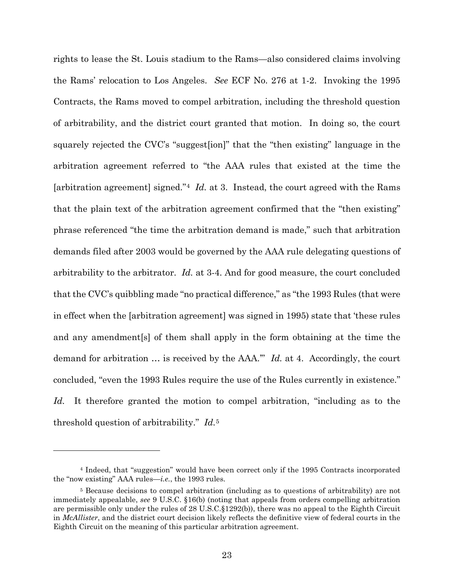rights to lease the St. Louis stadium to the Rams—also considered claims involving the Rams' relocation to Los Angeles. *See* ECF No. 276 at 1-2. Invoking the 1995 Contracts, the Rams moved to compel arbitration, including the threshold question of arbitrability, and the district court granted that motion. In doing so, the court squarely rejected the CVC's "suggest[ion]" that the "then existing" language in the arbitration agreement referred to "the AAA rules that existed at the time the [arbitration agreement] signed."[4](#page-29-0) *Id.* at 3. Instead, the court agreed with the Rams that the plain text of the arbitration agreement confirmed that the "then existing" phrase referenced "the time the arbitration demand is made," such that arbitration demands filed after 2003 would be governed by the AAA rule delegating questions of arbitrability to the arbitrator. *Id.* at 3-4. And for good measure, the court concluded that the CVC's quibbling made "no practical difference," as "the 1993 Rules (that were in effect when the [arbitration agreement] was signed in 1995) state that 'these rules and any amendment[s] of them shall apply in the form obtaining at the time the demand for arbitration … is received by the AAA.'" *Id.* at 4. Accordingly, the court concluded, "even the 1993 Rules require the use of the Rules currently in existence." Id. It therefore granted the motion to compel arbitration, "including as to the threshold question of arbitrability." *Id.*[5](#page-29-1)

<u>.</u>

<span id="page-29-0"></span><sup>4</sup> Indeed, that "suggestion" would have been correct only if the 1995 Contracts incorporated the "now existing" AAA rules—*i.e.*, the 1993 rules.

<span id="page-29-1"></span><sup>5</sup> Because decisions to compel arbitration (including as to questions of arbitrability) are not immediately appealable, *see* 9 U.S.C. §16(b) (noting that appeals from orders compelling arbitration are permissible only under the rules of 28 U.S.C.§1292(b)), there was no appeal to the Eighth Circuit in *McAllister*, and the district court decision likely reflects the definitive view of federal courts in the Eighth Circuit on the meaning of this particular arbitration agreement.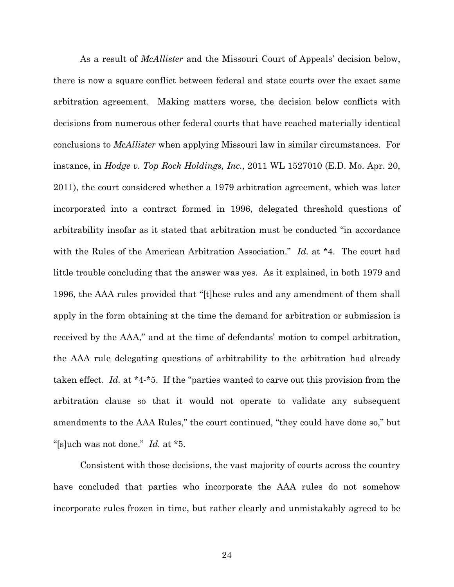As a result of *McAllister* and the Missouri Court of Appeals' decision below, there is now a square conflict between federal and state courts over the exact same arbitration agreement. Making matters worse, the decision below conflicts with decisions from numerous other federal courts that have reached materially identical conclusions to *McAllister* when applying Missouri law in similar circumstances. For instance, in *Hodge v. Top Rock Holdings, Inc.*, 2011 WL 1527010 (E.D. Mo. Apr. 20, 2011), the court considered whether a 1979 arbitration agreement, which was later incorporated into a contract formed in 1996, delegated threshold questions of arbitrability insofar as it stated that arbitration must be conducted "in accordance with the Rules of the American Arbitration Association." *Id.* at \*4. The court had little trouble concluding that the answer was yes. As it explained, in both 1979 and 1996, the AAA rules provided that "[t]hese rules and any amendment of them shall apply in the form obtaining at the time the demand for arbitration or submission is received by the AAA," and at the time of defendants' motion to compel arbitration, the AAA rule delegating questions of arbitrability to the arbitration had already taken effect. *Id.* at \*4-\*5. If the "parties wanted to carve out this provision from the arbitration clause so that it would not operate to validate any subsequent amendments to the AAA Rules," the court continued, "they could have done so," but "[s]uch was not done." *Id.* at \*5.

Consistent with those decisions, the vast majority of courts across the country have concluded that parties who incorporate the AAA rules do not somehow incorporate rules frozen in time, but rather clearly and unmistakably agreed to be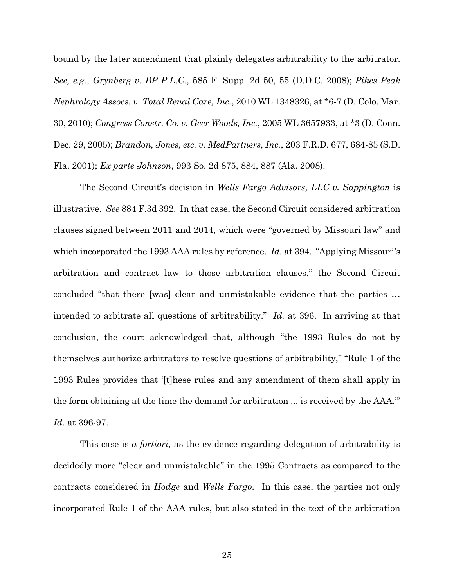bound by the later amendment that plainly delegates arbitrability to the arbitrator. *See, e.g.*, *Grynberg v. BP P.L.C.*, 585 F. Supp. 2d 50, 55 (D.D.C. 2008); *Pikes Peak Nephrology Assocs. v. Total Renal Care, Inc.*, 2010 WL 1348326, at \*6-7 (D. Colo. Mar. 30, 2010); *Congress Constr. Co. v. Geer Woods, Inc.*, 2005 WL 3657933, at \*3 (D. Conn. Dec. 29, 2005); *Brandon, Jones, etc. v. MedPartners, Inc.*, 203 F.R.D. 677, 684-85 (S.D. Fla. 2001); *Ex parte Johnson*, 993 So. 2d 875, 884, 887 (Ala. 2008).

The Second Circuit's decision in *Wells Fargo Advisors, LLC v. Sappington* is illustrative. *See* 884 F.3d 392. In that case, the Second Circuit considered arbitration clauses signed between 2011 and 2014, which were "governed by Missouri law" and which incorporated the 1993 AAA rules by reference. *Id.* at 394. "Applying Missouri's arbitration and contract law to those arbitration clauses," the Second Circuit concluded "that there [was] clear and unmistakable evidence that the parties … intended to arbitrate all questions of arbitrability." *Id.* at 396. In arriving at that conclusion, the court acknowledged that, although "the 1993 Rules do not by themselves authorize arbitrators to resolve questions of arbitrability," "Rule 1 of the 1993 Rules provides that '[t]hese rules and any amendment of them shall apply in the form obtaining at the time the demand for arbitration ... is received by the AAA.'" *Id.* at 396-97.

This case is *a fortiori*, as the evidence regarding delegation of arbitrability is decidedly more "clear and unmistakable" in the 1995 Contracts as compared to the contracts considered in *Hodge* and *Wells Fargo*. In this case, the parties not only incorporated Rule 1 of the AAA rules, but also stated in the text of the arbitration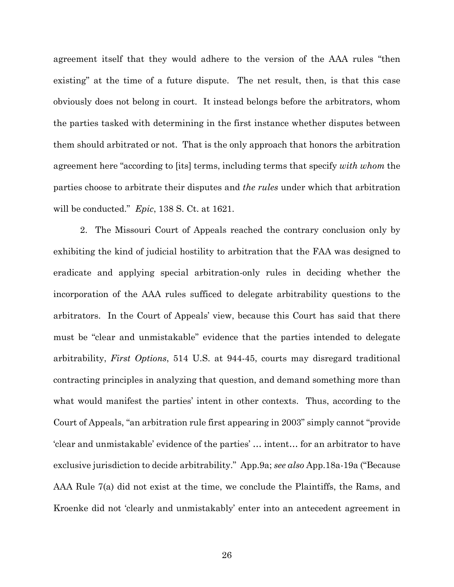agreement itself that they would adhere to the version of the AAA rules "then existing" at the time of a future dispute. The net result, then, is that this case obviously does not belong in court. It instead belongs before the arbitrators, whom the parties tasked with determining in the first instance whether disputes between them should arbitrated or not. That is the only approach that honors the arbitration agreement here "according to [its] terms, including terms that specify *with whom* the parties choose to arbitrate their disputes and *the rules* under which that arbitration will be conducted." *Epic*, 138 S. Ct. at 1621.

2. The Missouri Court of Appeals reached the contrary conclusion only by exhibiting the kind of judicial hostility to arbitration that the FAA was designed to eradicate and applying special arbitration-only rules in deciding whether the incorporation of the AAA rules sufficed to delegate arbitrability questions to the arbitrators. In the Court of Appeals' view, because this Court has said that there must be "clear and unmistakable" evidence that the parties intended to delegate arbitrability, *First Options*, 514 U.S. at 944-45, courts may disregard traditional contracting principles in analyzing that question, and demand something more than what would manifest the parties' intent in other contexts. Thus, according to the Court of Appeals, "an arbitration rule first appearing in 2003" simply cannot "provide 'clear and unmistakable' evidence of the parties' … intent… for an arbitrator to have exclusive jurisdiction to decide arbitrability." App.9a; *see also* App.18a-19a ("Because AAA Rule 7(a) did not exist at the time, we conclude the Plaintiffs, the Rams, and Kroenke did not 'clearly and unmistakably' enter into an antecedent agreement in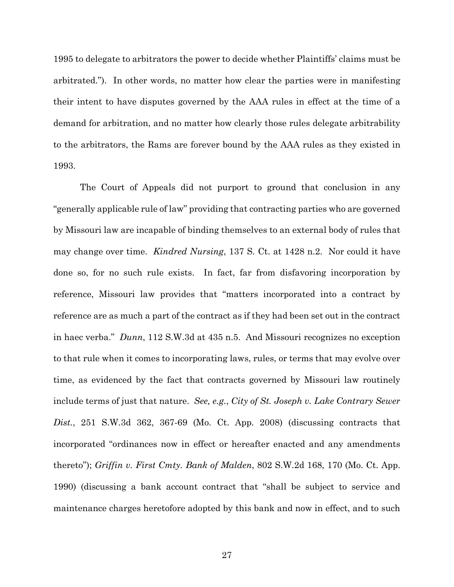1995 to delegate to arbitrators the power to decide whether Plaintiffs' claims must be arbitrated."). In other words, no matter how clear the parties were in manifesting their intent to have disputes governed by the AAA rules in effect at the time of a demand for arbitration, and no matter how clearly those rules delegate arbitrability to the arbitrators, the Rams are forever bound by the AAA rules as they existed in 1993.

The Court of Appeals did not purport to ground that conclusion in any "generally applicable rule of law" providing that contracting parties who are governed by Missouri law are incapable of binding themselves to an external body of rules that may change over time. *Kindred Nursing*, 137 S. Ct. at 1428 n.2. Nor could it have done so, for no such rule exists. In fact, far from disfavoring incorporation by reference, Missouri law provides that "matters incorporated into a contract by reference are as much a part of the contract as if they had been set out in the contract in haec verba." *Dunn*, 112 S.W.3d at 435 n.5. And Missouri recognizes no exception to that rule when it comes to incorporating laws, rules, or terms that may evolve over time, as evidenced by the fact that contracts governed by Missouri law routinely include terms of just that nature. *See, e.g.*, *City of St. Joseph v. Lake Contrary Sewer Dist.*, 251 S.W.3d 362, 367-69 (Mo. Ct. App. 2008) (discussing contracts that incorporated "ordinances now in effect or hereafter enacted and any amendments thereto"); *Griffin v. First Cmty. Bank of Malden*, 802 S.W.2d 168, 170 (Mo. Ct. App. 1990) (discussing a bank account contract that "shall be subject to service and maintenance charges heretofore adopted by this bank and now in effect, and to such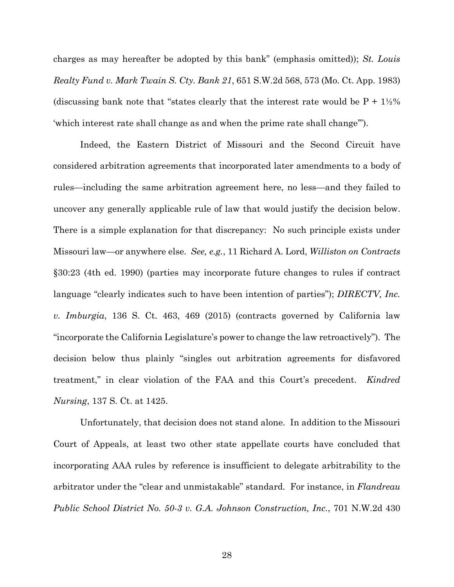charges as may hereafter be adopted by this bank" (emphasis omitted)); *St. Louis Realty Fund v. Mark Twain S. Cty. Bank 21*, 651 S.W.2d 568, 573 (Mo. Ct. App. 1983) (discussing bank note that "states clearly that the interest rate would be  $P + 1\frac{1}{2}\%$ 'which interest rate shall change as and when the prime rate shall change'").

Indeed, the Eastern District of Missouri and the Second Circuit have considered arbitration agreements that incorporated later amendments to a body of rules—including the same arbitration agreement here, no less—and they failed to uncover any generally applicable rule of law that would justify the decision below. There is a simple explanation for that discrepancy: No such principle exists under Missouri law—or anywhere else. *See, e.g.*, 11 Richard A. Lord, *Williston on Contracts* §30:23 (4th ed. 1990) (parties may incorporate future changes to rules if contract language "clearly indicates such to have been intention of parties"); *DIRECTV, Inc. v. Imburgia*, 136 S. Ct. 463, 469 (2015) (contracts governed by California law "incorporate the California Legislature's power to change the law retroactively").The decision below thus plainly "singles out arbitration agreements for disfavored treatment," in clear violation of the FAA and this Court's precedent. *Kindred Nursing*, 137 S. Ct. at 1425.

Unfortunately, that decision does not stand alone. In addition to the Missouri Court of Appeals, at least two other state appellate courts have concluded that incorporating AAA rules by reference is insufficient to delegate arbitrability to the arbitrator under the "clear and unmistakable" standard. For instance, in *Flandreau Public School District No. 50-3 v. G.A. Johnson Construction, Inc.*, 701 N.W.2d 430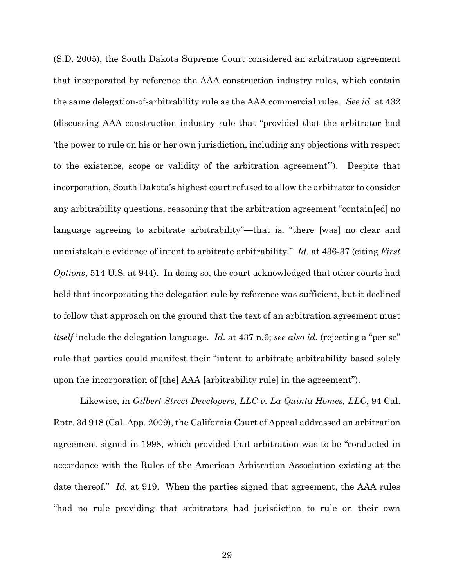(S.D. 2005), the South Dakota Supreme Court considered an arbitration agreement that incorporated by reference the AAA construction industry rules, which contain the same delegation-of-arbitrability rule as the AAA commercial rules. *See id.* at 432 (discussing AAA construction industry rule that "provided that the arbitrator had 'the power to rule on his or her own jurisdiction, including any objections with respect to the existence, scope or validity of the arbitration agreement'"). Despite that incorporation, South Dakota's highest court refused to allow the arbitrator to consider any arbitrability questions, reasoning that the arbitration agreement "contain[ed] no language agreeing to arbitrate arbitrability"—that is, "there [was] no clear and unmistakable evidence of intent to arbitrate arbitrability." *Id.* at 436-37 (citing *First Options*, 514 U.S. at 944). In doing so, the court acknowledged that other courts had held that incorporating the delegation rule by reference was sufficient, but it declined to follow that approach on the ground that the text of an arbitration agreement must *itself* include the delegation language. *Id.* at 437 n.6; *see also id.* (rejecting a "per se" rule that parties could manifest their "intent to arbitrate arbitrability based solely upon the incorporation of [the] AAA [arbitrability rule] in the agreement").

Likewise, in *Gilbert Street Developers, LLC v. La Quinta Homes, LLC*, 94 Cal. Rptr. 3d 918 (Cal. App. 2009), the California Court of Appeal addressed an arbitration agreement signed in 1998, which provided that arbitration was to be "conducted in accordance with the Rules of the American Arbitration Association existing at the date thereof." *Id.* at 919. When the parties signed that agreement, the AAA rules "had no rule providing that arbitrators had jurisdiction to rule on their own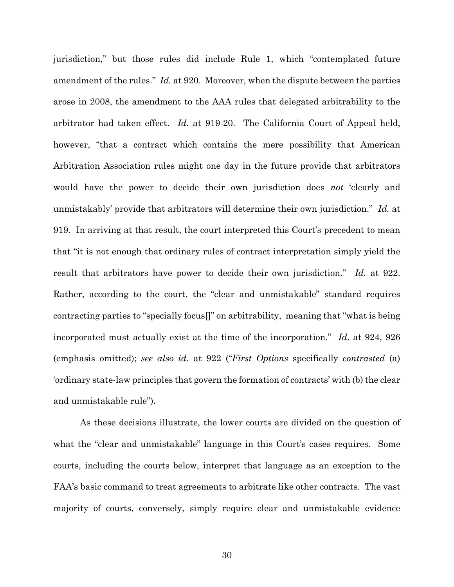jurisdiction," but those rules did include Rule 1, which "contemplated future amendment of the rules." *Id.* at 920. Moreover, when the dispute between the parties arose in 2008, the amendment to the AAA rules that delegated arbitrability to the arbitrator had taken effect. *Id.* at 919-20. The California Court of Appeal held, however, "that a contract which contains the mere possibility that American Arbitration Association rules might one day in the future provide that arbitrators would have the power to decide their own jurisdiction does *not* 'clearly and unmistakably' provide that arbitrators will determine their own jurisdiction." *Id.* at 919. In arriving at that result, the court interpreted this Court's precedent to mean that "it is not enough that ordinary rules of contract interpretation simply yield the result that arbitrators have power to decide their own jurisdiction." *Id.* at 922. Rather, according to the court, the "clear and unmistakable" standard requires contracting parties to "specially focus[]" on arbitrability, meaning that "what is being incorporated must actually exist at the time of the incorporation." *Id.* at 924, 926 (emphasis omitted); *see also id.* at 922 ("*First Options* specifically *contrasted* (a) 'ordinary state-law principles that govern the formation of contracts' with (b) the clear and unmistakable rule").

As these decisions illustrate, the lower courts are divided on the question of what the "clear and unmistakable" language in this Court's cases requires. Some courts, including the courts below, interpret that language as an exception to the FAA's basic command to treat agreements to arbitrate like other contracts. The vast majority of courts, conversely, simply require clear and unmistakable evidence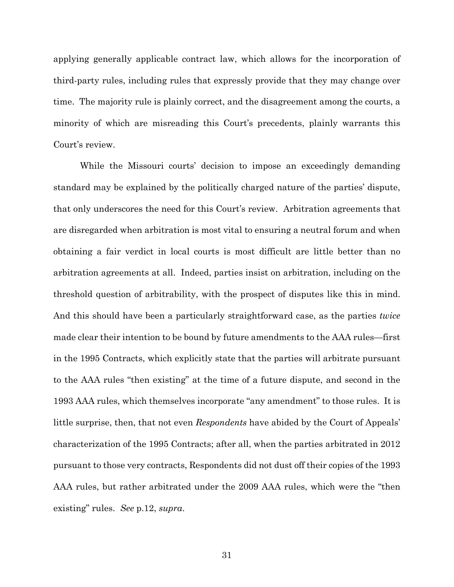applying generally applicable contract law, which allows for the incorporation of third-party rules, including rules that expressly provide that they may change over time. The majority rule is plainly correct, and the disagreement among the courts, a minority of which are misreading this Court's precedents, plainly warrants this Court's review.

While the Missouri courts' decision to impose an exceedingly demanding standard may be explained by the politically charged nature of the parties' dispute, that only underscores the need for this Court's review. Arbitration agreements that are disregarded when arbitration is most vital to ensuring a neutral forum and when obtaining a fair verdict in local courts is most difficult are little better than no arbitration agreements at all. Indeed, parties insist on arbitration, including on the threshold question of arbitrability, with the prospect of disputes like this in mind. And this should have been a particularly straightforward case, as the parties *twice*  made clear their intention to be bound by future amendments to the AAA rules—first in the 1995 Contracts, which explicitly state that the parties will arbitrate pursuant to the AAA rules "then existing" at the time of a future dispute, and second in the 1993 AAA rules, which themselves incorporate "any amendment" to those rules. It is little surprise, then, that not even *Respondents* have abided by the Court of Appeals' characterization of the 1995 Contracts; after all, when the parties arbitrated in 2012 pursuant to those very contracts, Respondents did not dust off their copies of the 1993 AAA rules, but rather arbitrated under the 2009 AAA rules, which were the "then existing" rules. *See* p.12, *supra*.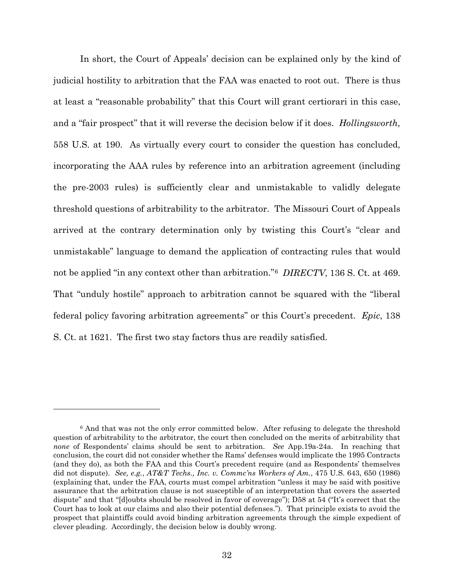In short, the Court of Appeals' decision can be explained only by the kind of judicial hostility to arbitration that the FAA was enacted to root out. There is thus at least a "reasonable probability" that this Court will grant certiorari in this case, and a "fair prospect" that it will reverse the decision below if it does. *Hollingsworth*, 558 U.S. at 190. As virtually every court to consider the question has concluded, incorporating the AAA rules by reference into an arbitration agreement (including the pre-2003 rules) is sufficiently clear and unmistakable to validly delegate threshold questions of arbitrability to the arbitrator. The Missouri Court of Appeals arrived at the contrary determination only by twisting this Court's "clear and unmistakable" language to demand the application of contracting rules that would not be applied "in any context other than arbitration."[6](#page-38-0) *DIRECTV*, 136 S. Ct. at 469. That "unduly hostile" approach to arbitration cannot be squared with the "liberal federal policy favoring arbitration agreements" or this Court's precedent. *Epic*, 138 S. Ct. at 1621. The first two stay factors thus are readily satisfied.

 $\overline{a}$ 

<span id="page-38-0"></span><sup>&</sup>lt;sup>6</sup> And that was not the only error committed below. After refusing to delegate the threshold question of arbitrability to the arbitrator, the court then concluded on the merits of arbitrability that *none* of Respondents' claims should be sent to arbitration. *See* App.19a-24a. In reaching that conclusion, the court did not consider whether the Rams' defenses would implicate the 1995 Contracts (and they do), as both the FAA and this Court's precedent require (and as Respondents' themselves did not dispute). *See, e.g.*, *AT&T Techs., Inc. v. Commc'ns Workers of Am.*, 475 U.S. 643, 650 (1986) (explaining that, under the FAA, courts must compel arbitration "unless it may be said with positive assurance that the arbitration clause is not susceptible of an interpretation that covers the asserted dispute" and that "[d]oubts should be resolved in favor of coverage"); D58 at 54 ("It's correct that the Court has to look at our claims and also their potential defenses."). That principle exists to avoid the prospect that plaintiffs could avoid binding arbitration agreements through the simple expedient of clever pleading. Accordingly, the decision below is doubly wrong.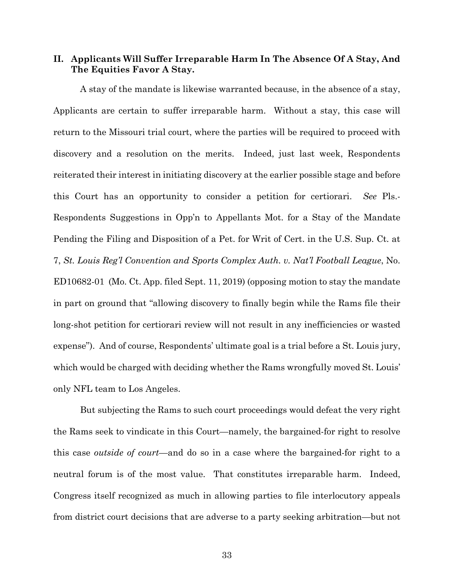## **II. Applicants Will Suffer Irreparable Harm In The Absence Of A Stay, And The Equities Favor A Stay.**

A stay of the mandate is likewise warranted because, in the absence of a stay, Applicants are certain to suffer irreparable harm. Without a stay, this case will return to the Missouri trial court, where the parties will be required to proceed with discovery and a resolution on the merits. Indeed, just last week, Respondents reiterated their interest in initiating discovery at the earlier possible stage and before this Court has an opportunity to consider a petition for certiorari. *See* Pls.- Respondents Suggestions in Opp'n to Appellants Mot. for a Stay of the Mandate Pending the Filing and Disposition of a Pet. for Writ of Cert. in the U.S. Sup. Ct. at 7, *St. Louis Reg'l Convention and Sports Complex Auth. v. Nat'l Football League*, No. ED10682-01 (Mo. Ct. App. filed Sept. 11, 2019) (opposing motion to stay the mandate in part on ground that "allowing discovery to finally begin while the Rams file their long-shot petition for certiorari review will not result in any inefficiencies or wasted expense"). And of course, Respondents' ultimate goal is a trial before a St. Louis jury, which would be charged with deciding whether the Rams wrongfully moved St. Louis' only NFL team to Los Angeles.

But subjecting the Rams to such court proceedings would defeat the very right the Rams seek to vindicate in this Court—namely, the bargained-for right to resolve this case *outside of court*—and do so in a case where the bargained-for right to a neutral forum is of the most value. That constitutes irreparable harm. Indeed, Congress itself recognized as much in allowing parties to file interlocutory appeals from district court decisions that are adverse to a party seeking arbitration—but not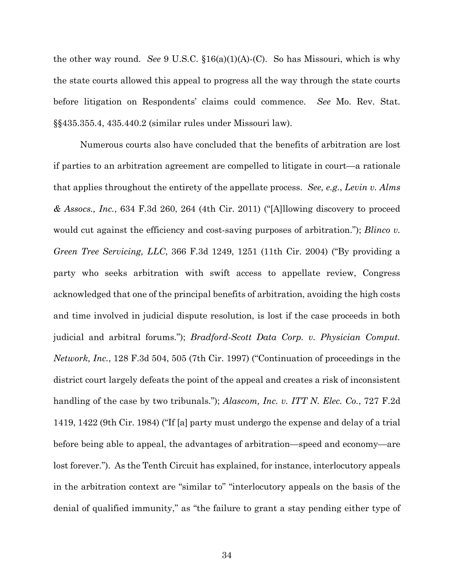the other way round. *See* 9 U.S.C. §16(a)(1)(A)-(C). So has Missouri, which is why the state courts allowed this appeal to progress all the way through the state courts before litigation on Respondents' claims could commence. *See* Mo. Rev. Stat. §§435.355.4, 435.440.2 (similar rules under Missouri law).

Numerous courts also have concluded that the benefits of arbitration are lost if parties to an arbitration agreement are compelled to litigate in court—a rationale that applies throughout the entirety of the appellate process. *See, e.g.*, *Levin v. Alms & Assocs., Inc.*, 634 F.3d 260, 264 (4th Cir. 2011) ("[A]llowing discovery to proceed would cut against the efficiency and cost-saving purposes of arbitration."); *Blinco v. Green Tree Servicing, LLC*, 366 F.3d 1249, 1251 (11th Cir. 2004) ("By providing a party who seeks arbitration with swift access to appellate review, Congress acknowledged that one of the principal benefits of arbitration, avoiding the high costs and time involved in judicial dispute resolution, is lost if the case proceeds in both judicial and arbitral forums."); *Bradford-Scott Data Corp. v. Physician Comput. Network, Inc.*, 128 F.3d 504, 505 (7th Cir. 1997) ("Continuation of proceedings in the district court largely defeats the point of the appeal and creates a risk of inconsistent handling of the case by two tribunals."); *Alascom, Inc. v. ITT N. Elec. Co.*, 727 F.2d 1419, 1422 (9th Cir. 1984) ("If [a] party must undergo the expense and delay of a trial before being able to appeal, the advantages of arbitration—speed and economy—are lost forever."). As the Tenth Circuit has explained, for instance, interlocutory appeals in the arbitration context are "similar to" "interlocutory appeals on the basis of the denial of qualified immunity," as "the failure to grant a stay pending either type of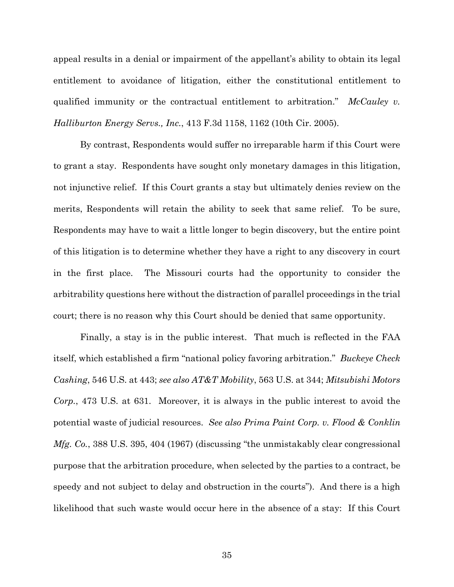appeal results in a denial or impairment of the appellant's ability to obtain its legal entitlement to avoidance of litigation, either the constitutional entitlement to qualified immunity or the contractual entitlement to arbitration." *McCauley v. Halliburton Energy Servs., Inc.*, 413 F.3d 1158, 1162 (10th Cir. 2005).

By contrast, Respondents would suffer no irreparable harm if this Court were to grant a stay. Respondents have sought only monetary damages in this litigation, not injunctive relief. If this Court grants a stay but ultimately denies review on the merits, Respondents will retain the ability to seek that same relief. To be sure, Respondents may have to wait a little longer to begin discovery, but the entire point of this litigation is to determine whether they have a right to any discovery in court in the first place. The Missouri courts had the opportunity to consider the arbitrability questions here without the distraction of parallel proceedings in the trial court; there is no reason why this Court should be denied that same opportunity.

Finally, a stay is in the public interest. That much is reflected in the FAA itself, which established a firm "national policy favoring arbitration." *Buckeye Check Cashing*, 546 U.S. at 443; *see also AT&T Mobility*, 563 U.S. at 344; *Mitsubishi Motors Corp.*, 473 U.S. at 631. Moreover, it is always in the public interest to avoid the potential waste of judicial resources. *See also Prima Paint Corp. v. Flood & Conklin Mfg. Co.*, 388 U.S. 395, 404 (1967) (discussing "the unmistakably clear congressional purpose that the arbitration procedure, when selected by the parties to a contract, be speedy and not subject to delay and obstruction in the courts"). And there is a high likelihood that such waste would occur here in the absence of a stay: If this Court